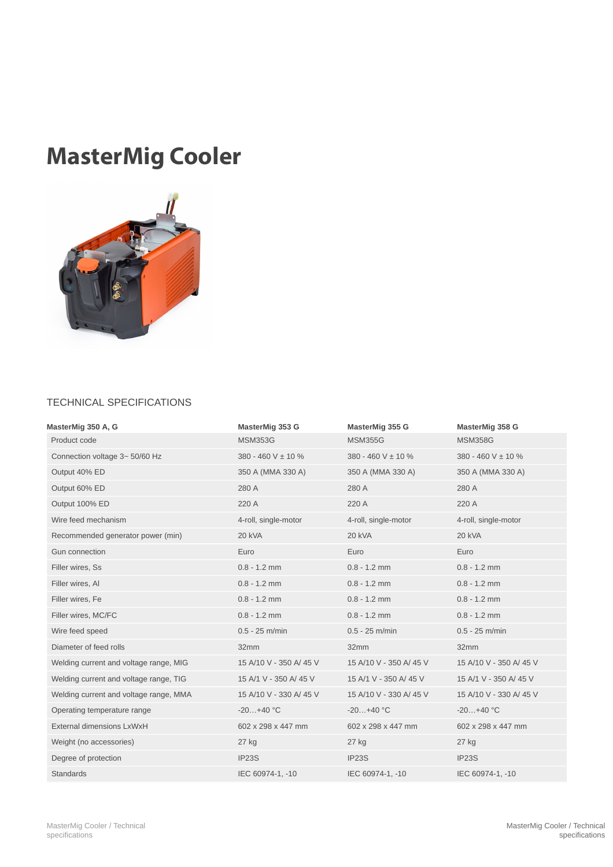## MasterMig Cooler



## TECHNICAL SPECIFICATIONS

| MasterMig 350 A, G                     | MasterMig 353 G         | MasterMig 355 G        | MasterMig 358 G         |
|----------------------------------------|-------------------------|------------------------|-------------------------|
| Product code                           | <b>MSM353G</b>          | <b>MSM355G</b>         | <b>MSM358G</b>          |
| Connection voltage 3~50/60 Hz          | 380 - 460 V ± 10 %      | 380 - 460 V ± 10 %     | 380 - 460 V ± 10 %      |
| Output 40% ED                          | 350 A (MMA 330 A)       | 350 A (MMA 330 A)      | 350 A (MMA 330 A)       |
| Output 60% ED                          | 280 A                   | 280 A                  | 280 A                   |
| Output 100% ED                         | 220 A                   | 220 A                  | 220 A                   |
| Wire feed mechanism                    | 4-roll, single-motor    | 4-roll, single-motor   | 4-roll, single-motor    |
| Recommended generator power (min)      | 20 kVA                  | 20 kVA                 | 20 kVA                  |
| Gun connection                         | Euro                    | Euro                   | Euro                    |
| Filler wires, Ss                       | $0.8 - 1.2$ mm          | $0.8 - 1.2$ mm         | $0.8 - 1.2$ mm          |
| Filler wires, Al                       | $0.8 - 1.2$ mm          | $0.8 - 1.2$ mm         | $0.8 - 1.2$ mm          |
| Filler wires, Fe                       | $0.8 - 1.2$ mm          | $0.8 - 1.2$ mm         | $0.8 - 1.2$ mm          |
| Filler wires, MC/FC                    | $0.8 - 1.2$ mm          | $0.8 - 1.2$ mm         | $0.8 - 1.2$ mm          |
| Wire feed speed                        | $0.5 - 25$ m/min        | $0.5 - 25$ m/min       | $0.5 - 25$ m/min        |
| Diameter of feed rolls                 | 32mm                    | 32mm                   | 32mm                    |
| Welding current and voltage range, MIG | 15 A/10 V - 350 A/45 V  | 15 A/10 V - 350 A/45 V | 15 A/10 V - 350 A/ 45 V |
| Welding current and voltage range, TIG | 15 A/1 V - 350 A/ 45 V  | 15 A/1 V - 350 A/ 45 V | 15 A/1 V - 350 A/ 45 V  |
| Welding current and voltage range, MMA | 15 A/10 V - 330 A/ 45 V | 15 A/10 V - 330 A/45 V | 15 A/10 V - 330 A/ 45 V |
| Operating temperature range            | $-20+40 °C$             | $-20+40 °C$            | $-20+40 °C$             |
| External dimensions LxWxH              | 602 x 298 x 447 mm      | 602 x 298 x 447 mm     | 602 x 298 x 447 mm      |
| Weight (no accessories)                | $27$ kg                 | $27$ kg                | $27$ kg                 |
| Degree of protection                   | IP23S                   | IP23S                  | IP23S                   |
| <b>Standards</b>                       | IEC 60974-1, -10        | IEC 60974-1, -10       | IEC 60974-1, -10        |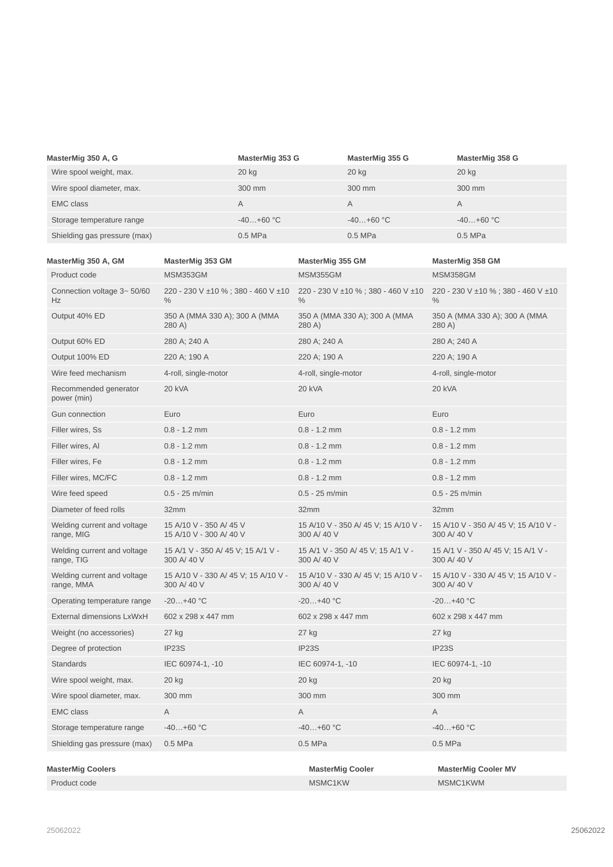| MasterMig 350 A, G           | MasterMig 353 G | MasterMig 355 G | MasterMig 358 G |
|------------------------------|-----------------|-----------------|-----------------|
| Wire spool weight, max.      | $20$ kg         | 20 kg           | 20 kg           |
| Wire spool diameter, max.    | 300 mm          | 300 mm          | 300 mm          |
| <b>EMC class</b>             | А               | A               | A               |
| Storage temperature range    | $-40+60$ °C     | $-40+60$ °C     | $-40+60$ °C     |
| Shielding gas pressure (max) | $0.5$ MPa       | $0.5$ MPa       | 0.5 MPa         |

| MasterMig 350 A, GM                       | MasterMig 353 GM                                    | MasterMig 355 GM                                    | MasterMig 358 GM                                    |
|-------------------------------------------|-----------------------------------------------------|-----------------------------------------------------|-----------------------------------------------------|
| Product code                              | MSM353GM                                            | <b>MSM355GM</b>                                     | MSM358GM                                            |
| Connection voltage 3~50/60<br>Hz          | 220 - 230 V ±10 %; 380 - 460 V ±10<br>$\%$          | 220 - 230 V ±10 %; 380 - 460 V ±10<br>$\%$          | 220 - 230 V ±10 %; 380 - 460 V ±10<br>$\%$          |
| Output 40% ED                             | 350 A (MMA 330 A); 300 A (MMA<br>280 A)             | 350 A (MMA 330 A); 300 A (MMA<br>280 A)             | 350 A (MMA 330 A); 300 A (MMA<br>280 A)             |
| Output 60% ED                             | 280 A; 240 A                                        | 280 A; 240 A                                        | 280 A; 240 A                                        |
| Output 100% ED                            | 220 A; 190 A                                        | 220 A; 190 A                                        | 220 A; 190 A                                        |
| Wire feed mechanism                       | 4-roll, single-motor                                | 4-roll, single-motor                                | 4-roll, single-motor                                |
| Recommended generator<br>power (min)      | 20 kVA                                              | 20 kVA                                              | <b>20 kVA</b>                                       |
| Gun connection                            | Euro                                                | Euro                                                | Euro                                                |
| Filler wires, Ss                          | $0.8 - 1.2$ mm                                      | $0.8 - 1.2$ mm                                      | $0.8 - 1.2$ mm                                      |
| Filler wires, Al                          | $0.8 - 1.2$ mm                                      | $0.8 - 1.2$ mm                                      | $0.8 - 1.2$ mm                                      |
| Filler wires, Fe                          | $0.8 - 1.2$ mm                                      | $0.8 - 1.2$ mm                                      | $0.8 - 1.2$ mm                                      |
| Filler wires, MC/FC                       | $0.8 - 1.2$ mm                                      | $0.8 - 1.2$ mm                                      | $0.8 - 1.2$ mm                                      |
| Wire feed speed                           | $0.5 - 25$ m/min                                    | $0.5 - 25$ m/min                                    | $0.5 - 25$ m/min                                    |
| Diameter of feed rolls                    | 32mm                                                | 32mm                                                | 32mm                                                |
| Welding current and voltage<br>range, MIG | 15 A/10 V - 350 A/ 45 V<br>15 A/10 V - 300 A/ 40 V  | 15 A/10 V - 350 A/ 45 V; 15 A/10 V -<br>300 A/ 40 V | 15 A/10 V - 350 A/ 45 V; 15 A/10 V -<br>300 A/ 40 V |
| Welding current and voltage<br>range, TIG | 15 A/1 V - 350 A/ 45 V; 15 A/1 V -<br>300 A/ 40 V   | 15 A/1 V - 350 A/ 45 V; 15 A/1 V -<br>300 A/ 40 V   | 15 A/1 V - 350 A/ 45 V; 15 A/1 V -<br>300 A/ 40 V   |
| Welding current and voltage<br>range, MMA | 15 A/10 V - 330 A/ 45 V; 15 A/10 V -<br>300 A/ 40 V | 15 A/10 V - 330 A/ 45 V; 15 A/10 V -<br>300 A/40 V  | 15 A/10 V - 330 A/ 45 V; 15 A/10 V -<br>300 A/ 40 V |
| Operating temperature range               | $-20+40 °C$                                         | $-20+40$ °C                                         | $-20+40 °C$                                         |
| External dimensions LxWxH                 | 602 x 298 x 447 mm                                  | 602 x 298 x 447 mm                                  | 602 x 298 x 447 mm                                  |
| Weight (no accessories)                   | 27 kg                                               | 27 kg                                               | 27 kg                                               |
| Degree of protection                      | IP23S                                               | IP23S                                               | IP23S                                               |
| <b>Standards</b>                          | IEC 60974-1, -10                                    | IEC 60974-1, -10                                    | IEC 60974-1, -10                                    |
| Wire spool weight, max.                   | 20 kg                                               | 20 kg                                               | 20 kg                                               |
| Wire spool diameter, max.                 | 300 mm                                              | 300 mm                                              | 300 mm                                              |
| <b>EMC</b> class                          | Α                                                   | Α                                                   | Α                                                   |
| Storage temperature range                 | $-40+60$ °C                                         | $-40+60$ °C                                         | $-40+60$ °C                                         |
| Shielding gas pressure (max)              | 0.5 MPa                                             | $0.5$ MPa                                           | $0.5$ MPa                                           |
|                                           |                                                     |                                                     |                                                     |
| <b>MasterMig Coolers</b><br>Product code  |                                                     | <b>MasterMig Cooler</b><br>MSMC1KW                  | <b>MasterMig Cooler MV</b><br>MSMC1KWM              |